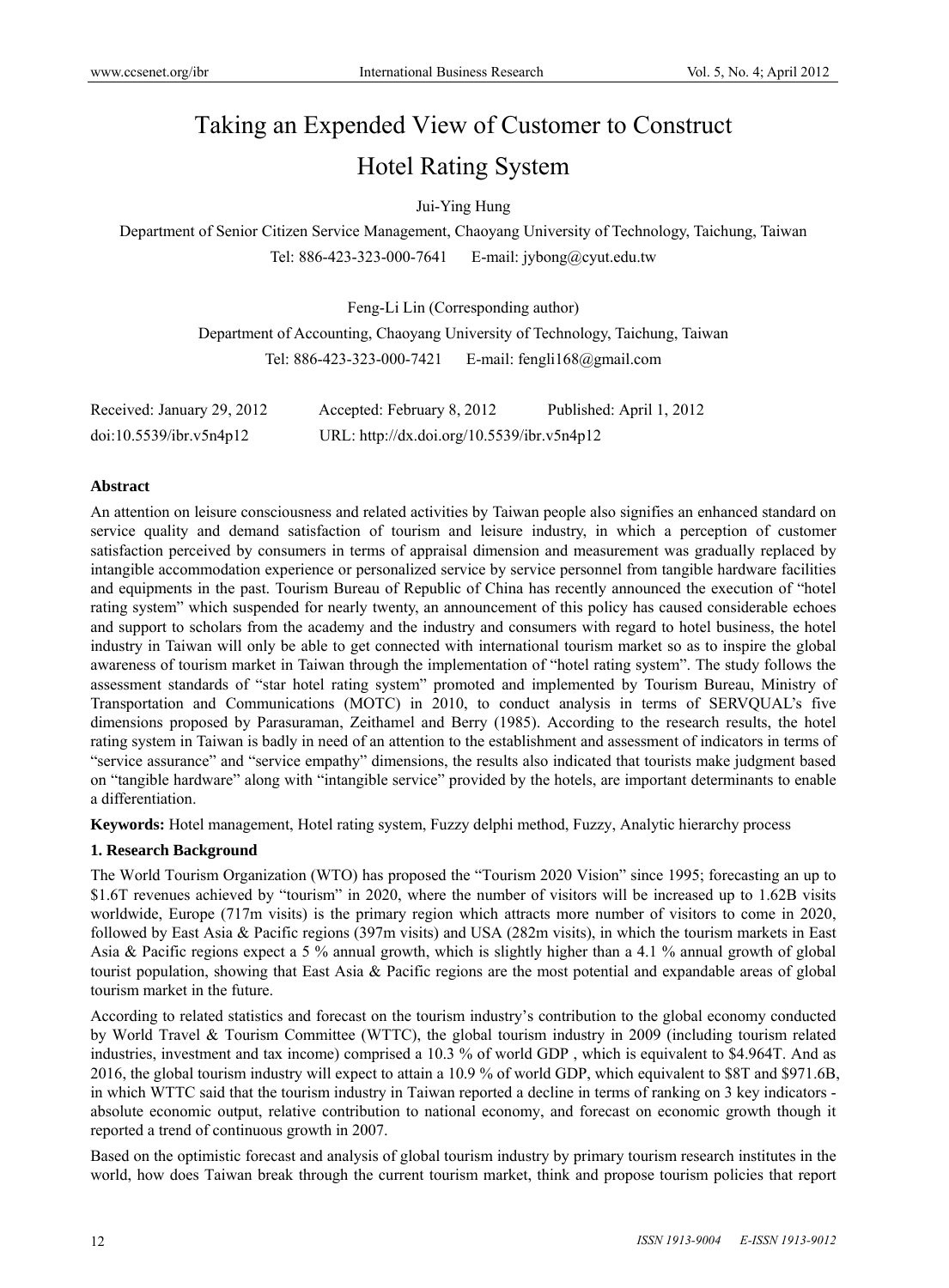# Taking an Expended View of Customer to Construct Hotel Rating System

# Jui-Ying Hung

Department of Senior Citizen Service Management, Chaoyang University of Technology, Taichung, Taiwan Tel: 886-423-323-000-7641 E-mail: jybong@cyut.edu.tw

Feng-Li Lin (Corresponding author)

Department of Accounting, Chaoyang University of Technology, Taichung, Taiwan Tel: 886-423-323-000-7421 E-mail: fengli168@gmail.com

| Received: January 29, 2012 | Accepted: February 8, 2012                 | Published: April 1, 2012 |
|----------------------------|--------------------------------------------|--------------------------|
| doi:10.5539/ibr.v5n4p12    | URL: http://dx.doi.org/10.5539/ibr.v5n4p12 |                          |

#### **Abstract**

An attention on leisure consciousness and related activities by Taiwan people also signifies an enhanced standard on service quality and demand satisfaction of tourism and leisure industry, in which a perception of customer satisfaction perceived by consumers in terms of appraisal dimension and measurement was gradually replaced by intangible accommodation experience or personalized service by service personnel from tangible hardware facilities and equipments in the past. Tourism Bureau of Republic of China has recently announced the execution of "hotel rating system" which suspended for nearly twenty, an announcement of this policy has caused considerable echoes and support to scholars from the academy and the industry and consumers with regard to hotel business, the hotel industry in Taiwan will only be able to get connected with international tourism market so as to inspire the global awareness of tourism market in Taiwan through the implementation of "hotel rating system". The study follows the assessment standards of "star hotel rating system" promoted and implemented by Tourism Bureau, Ministry of Transportation and Communications (MOTC) in 2010, to conduct analysis in terms of SERVQUAL's five dimensions proposed by Parasuraman, Zeithamel and Berry (1985). According to the research results, the hotel rating system in Taiwan is badly in need of an attention to the establishment and assessment of indicators in terms of "service assurance" and "service empathy" dimensions, the results also indicated that tourists make judgment based on "tangible hardware" along with "intangible service" provided by the hotels, are important determinants to enable a differentiation.

**Keywords:** Hotel management, Hotel rating system, Fuzzy delphi method, Fuzzy, Analytic hierarchy process

## **1. Research Background**

The World Tourism Organization (WTO) has proposed the "Tourism 2020 Vision" since 1995; forecasting an up to \$1.6T revenues achieved by "tourism" in 2020, where the number of visitors will be increased up to 1.62B visits worldwide, Europe (717m visits) is the primary region which attracts more number of visitors to come in 2020, followed by East Asia & Pacific regions (397m visits) and USA (282m visits), in which the tourism markets in East Asia & Pacific regions expect a 5 % annual growth, which is slightly higher than a 4.1 % annual growth of global tourist population, showing that East Asia & Pacific regions are the most potential and expandable areas of global tourism market in the future.

According to related statistics and forecast on the tourism industry's contribution to the global economy conducted by World Travel & Tourism Committee (WTTC), the global tourism industry in 2009 (including tourism related industries, investment and tax income) comprised a 10.3 % of world GDP , which is equivalent to \$4.964T. And as 2016, the global tourism industry will expect to attain a 10.9 % of world GDP, which equivalent to \$8T and \$971.6B, in which WTTC said that the tourism industry in Taiwan reported a decline in terms of ranking on 3 key indicators absolute economic output, relative contribution to national economy, and forecast on economic growth though it reported a trend of continuous growth in 2007.

Based on the optimistic forecast and analysis of global tourism industry by primary tourism research institutes in the world, how does Taiwan break through the current tourism market, think and propose tourism policies that report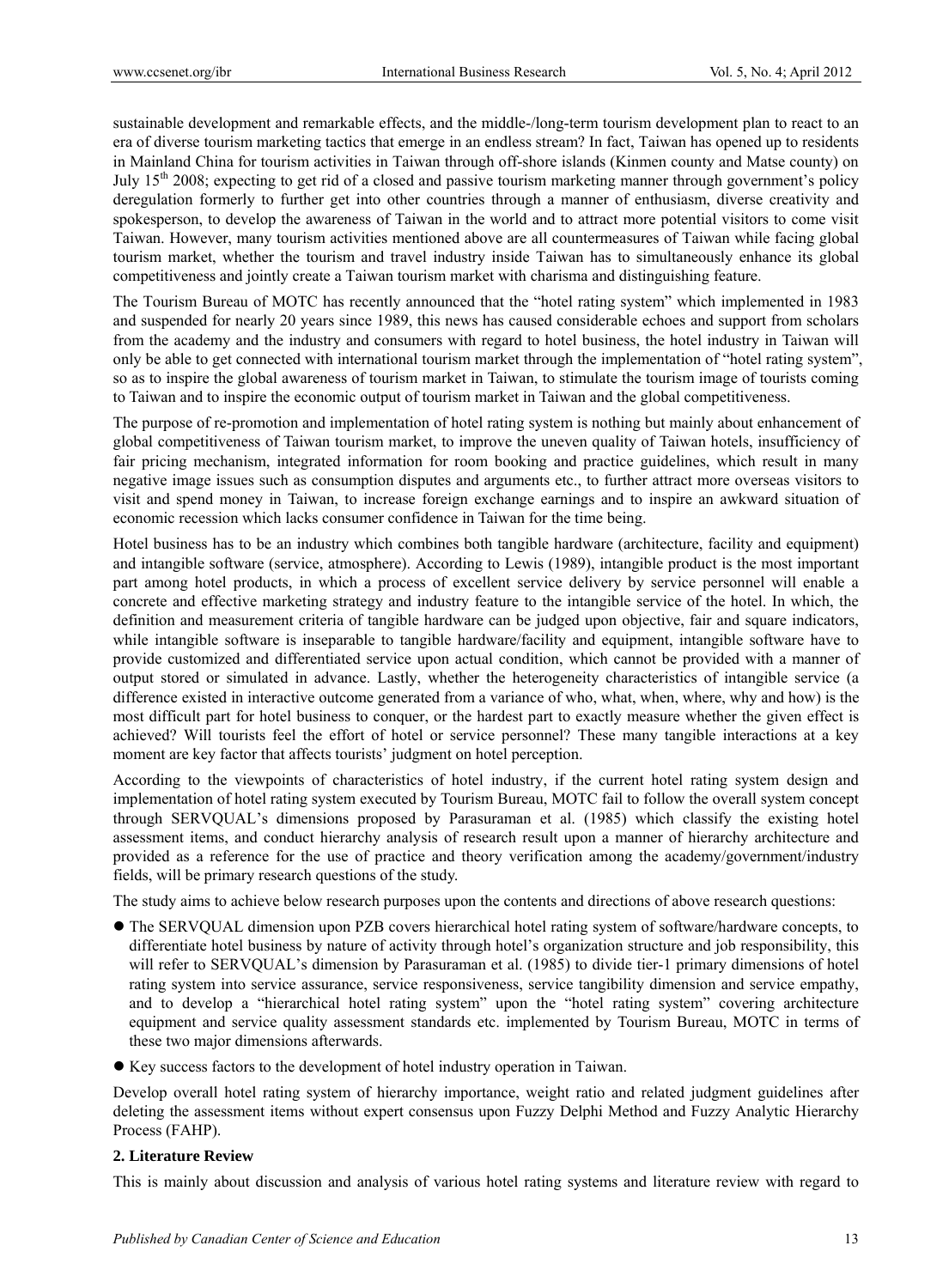sustainable development and remarkable effects, and the middle-/long-term tourism development plan to react to an era of diverse tourism marketing tactics that emerge in an endless stream? In fact, Taiwan has opened up to residents in Mainland China for tourism activities in Taiwan through off-shore islands (Kinmen county and Matse county) on July 15th 2008; expecting to get rid of a closed and passive tourism marketing manner through government's policy deregulation formerly to further get into other countries through a manner of enthusiasm, diverse creativity and spokesperson, to develop the awareness of Taiwan in the world and to attract more potential visitors to come visit Taiwan. However, many tourism activities mentioned above are all countermeasures of Taiwan while facing global tourism market, whether the tourism and travel industry inside Taiwan has to simultaneously enhance its global competitiveness and jointly create a Taiwan tourism market with charisma and distinguishing feature.

The Tourism Bureau of MOTC has recently announced that the "hotel rating system" which implemented in 1983 and suspended for nearly 20 years since 1989, this news has caused considerable echoes and support from scholars from the academy and the industry and consumers with regard to hotel business, the hotel industry in Taiwan will only be able to get connected with international tourism market through the implementation of "hotel rating system", so as to inspire the global awareness of tourism market in Taiwan, to stimulate the tourism image of tourists coming to Taiwan and to inspire the economic output of tourism market in Taiwan and the global competitiveness.

The purpose of re-promotion and implementation of hotel rating system is nothing but mainly about enhancement of global competitiveness of Taiwan tourism market, to improve the uneven quality of Taiwan hotels, insufficiency of fair pricing mechanism, integrated information for room booking and practice guidelines, which result in many negative image issues such as consumption disputes and arguments etc., to further attract more overseas visitors to visit and spend money in Taiwan, to increase foreign exchange earnings and to inspire an awkward situation of economic recession which lacks consumer confidence in Taiwan for the time being.

Hotel business has to be an industry which combines both tangible hardware (architecture, facility and equipment) and intangible software (service, atmosphere). According to Lewis (1989), intangible product is the most important part among hotel products, in which a process of excellent service delivery by service personnel will enable a concrete and effective marketing strategy and industry feature to the intangible service of the hotel. In which, the definition and measurement criteria of tangible hardware can be judged upon objective, fair and square indicators, while intangible software is inseparable to tangible hardware/facility and equipment, intangible software have to provide customized and differentiated service upon actual condition, which cannot be provided with a manner of output stored or simulated in advance. Lastly, whether the heterogeneity characteristics of intangible service (a difference existed in interactive outcome generated from a variance of who, what, when, where, why and how) is the most difficult part for hotel business to conquer, or the hardest part to exactly measure whether the given effect is achieved? Will tourists feel the effort of hotel or service personnel? These many tangible interactions at a key moment are key factor that affects tourists' judgment on hotel perception.

According to the viewpoints of characteristics of hotel industry, if the current hotel rating system design and implementation of hotel rating system executed by Tourism Bureau, MOTC fail to follow the overall system concept through SERVQUAL's dimensions proposed by Parasuraman et al. (1985) which classify the existing hotel assessment items, and conduct hierarchy analysis of research result upon a manner of hierarchy architecture and provided as a reference for the use of practice and theory verification among the academy/government/industry fields, will be primary research questions of the study.

The study aims to achieve below research purposes upon the contents and directions of above research questions:

- The SERVQUAL dimension upon PZB covers hierarchical hotel rating system of software/hardware concepts, to differentiate hotel business by nature of activity through hotel's organization structure and job responsibility, this will refer to SERVQUAL's dimension by Parasuraman et al. (1985) to divide tier-1 primary dimensions of hotel rating system into service assurance, service responsiveness, service tangibility dimension and service empathy, and to develop a "hierarchical hotel rating system" upon the "hotel rating system" covering architecture equipment and service quality assessment standards etc. implemented by Tourism Bureau, MOTC in terms of these two major dimensions afterwards.
- Key success factors to the development of hotel industry operation in Taiwan.

Develop overall hotel rating system of hierarchy importance, weight ratio and related judgment guidelines after deleting the assessment items without expert consensus upon Fuzzy Delphi Method and Fuzzy Analytic Hierarchy Process (FAHP).

# **2. Literature Review**

This is mainly about discussion and analysis of various hotel rating systems and literature review with regard to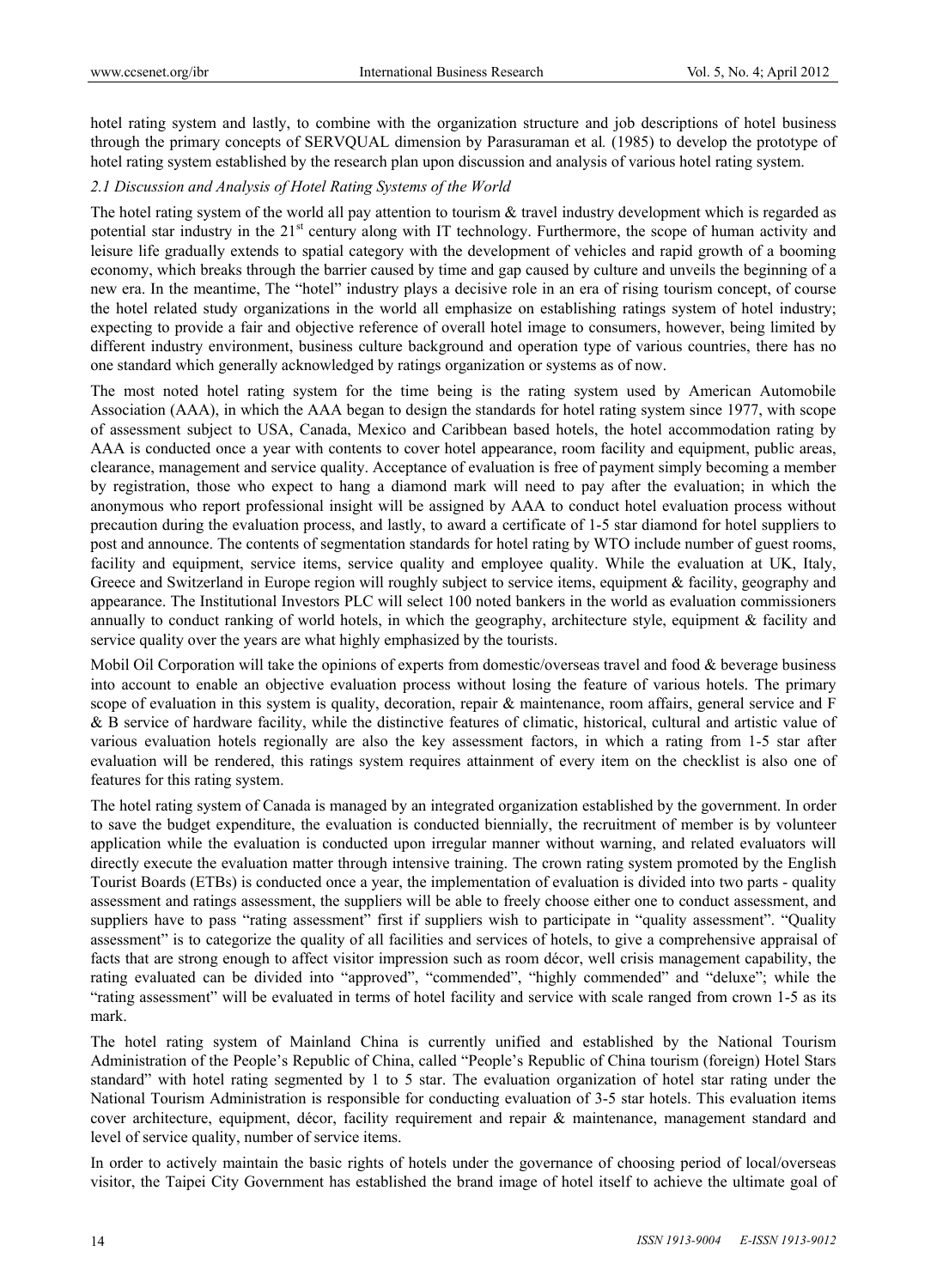hotel rating system and lastly, to combine with the organization structure and job descriptions of hotel business through the primary concepts of SERVQUAL dimension by Parasuraman et al*.* (1985) to develop the prototype of hotel rating system established by the research plan upon discussion and analysis of various hotel rating system.

# *2.1 Discussion and Analysis of Hotel Rating Systems of the World*

The hotel rating system of the world all pay attention to tourism & travel industry development which is regarded as potential star industry in the 21<sup>st</sup> century along with IT technology. Furthermore, the scope of human activity and leisure life gradually extends to spatial category with the development of vehicles and rapid growth of a booming economy, which breaks through the barrier caused by time and gap caused by culture and unveils the beginning of a new era. In the meantime, The "hotel" industry plays a decisive role in an era of rising tourism concept, of course the hotel related study organizations in the world all emphasize on establishing ratings system of hotel industry; expecting to provide a fair and objective reference of overall hotel image to consumers, however, being limited by different industry environment, business culture background and operation type of various countries, there has no one standard which generally acknowledged by ratings organization or systems as of now.

The most noted hotel rating system for the time being is the rating system used by American Automobile Association (AAA), in which the AAA began to design the standards for hotel rating system since 1977, with scope of assessment subject to USA, Canada, Mexico and Caribbean based hotels, the hotel accommodation rating by AAA is conducted once a year with contents to cover hotel appearance, room facility and equipment, public areas, clearance, management and service quality. Acceptance of evaluation is free of payment simply becoming a member by registration, those who expect to hang a diamond mark will need to pay after the evaluation; in which the anonymous who report professional insight will be assigned by AAA to conduct hotel evaluation process without precaution during the evaluation process, and lastly, to award a certificate of 1-5 star diamond for hotel suppliers to post and announce. The contents of segmentation standards for hotel rating by WTO include number of guest rooms, facility and equipment, service items, service quality and employee quality. While the evaluation at UK, Italy, Greece and Switzerland in Europe region will roughly subject to service items, equipment & facility, geography and appearance. The Institutional Investors PLC will select 100 noted bankers in the world as evaluation commissioners annually to conduct ranking of world hotels, in which the geography, architecture style, equipment  $\&$  facility and service quality over the years are what highly emphasized by the tourists.

Mobil Oil Corporation will take the opinions of experts from domestic/overseas travel and food & beverage business into account to enable an objective evaluation process without losing the feature of various hotels. The primary scope of evaluation in this system is quality, decoration, repair & maintenance, room affairs, general service and F & B service of hardware facility, while the distinctive features of climatic, historical, cultural and artistic value of various evaluation hotels regionally are also the key assessment factors, in which a rating from 1-5 star after evaluation will be rendered, this ratings system requires attainment of every item on the checklist is also one of features for this rating system.

The hotel rating system of Canada is managed by an integrated organization established by the government. In order to save the budget expenditure, the evaluation is conducted biennially, the recruitment of member is by volunteer application while the evaluation is conducted upon irregular manner without warning, and related evaluators will directly execute the evaluation matter through intensive training. The crown rating system promoted by the English Tourist Boards (ETBs) is conducted once a year, the implementation of evaluation is divided into two parts - quality assessment and ratings assessment, the suppliers will be able to freely choose either one to conduct assessment, and suppliers have to pass "rating assessment" first if suppliers wish to participate in "quality assessment". "Quality assessment" is to categorize the quality of all facilities and services of hotels, to give a comprehensive appraisal of facts that are strong enough to affect visitor impression such as room décor, well crisis management capability, the rating evaluated can be divided into "approved", "commended", "highly commended" and "deluxe"; while the "rating assessment" will be evaluated in terms of hotel facility and service with scale ranged from crown 1-5 as its mark.

The hotel rating system of Mainland China is currently unified and established by the National Tourism Administration of the People's Republic of China, called "People's Republic of China tourism (foreign) Hotel Stars standard" with hotel rating segmented by 1 to 5 star. The evaluation organization of hotel star rating under the National Tourism Administration is responsible for conducting evaluation of 3-5 star hotels. This evaluation items cover architecture, equipment, décor, facility requirement and repair & maintenance, management standard and level of service quality, number of service items.

In order to actively maintain the basic rights of hotels under the governance of choosing period of local/overseas visitor, the Taipei City Government has established the brand image of hotel itself to achieve the ultimate goal of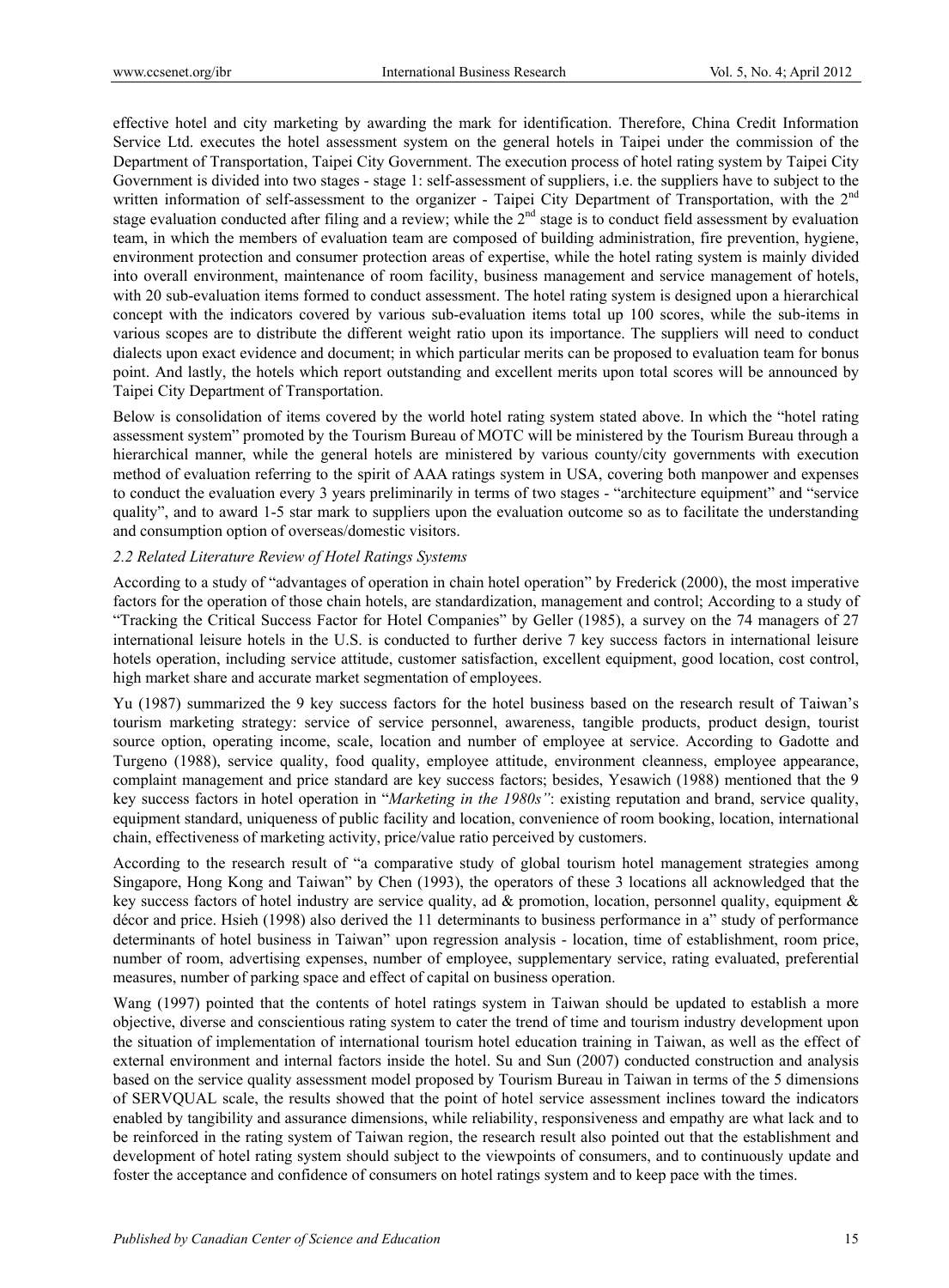effective hotel and city marketing by awarding the mark for identification. Therefore, China Credit Information Service Ltd. executes the hotel assessment system on the general hotels in Taipei under the commission of the Department of Transportation, Taipei City Government. The execution process of hotel rating system by Taipei City Government is divided into two stages - stage 1: self-assessment of suppliers, i.e. the suppliers have to subject to the written information of self-assessment to the organizer - Taipei City Department of Transportation, with the 2<sup>nd</sup> stage evaluation conducted after filing and a review; while the  $2<sup>nd</sup>$  stage is to conduct field assessment by evaluation team, in which the members of evaluation team are composed of building administration, fire prevention, hygiene, environment protection and consumer protection areas of expertise, while the hotel rating system is mainly divided into overall environment, maintenance of room facility, business management and service management of hotels, with 20 sub-evaluation items formed to conduct assessment. The hotel rating system is designed upon a hierarchical concept with the indicators covered by various sub-evaluation items total up 100 scores, while the sub-items in various scopes are to distribute the different weight ratio upon its importance. The suppliers will need to conduct dialects upon exact evidence and document; in which particular merits can be proposed to evaluation team for bonus point. And lastly, the hotels which report outstanding and excellent merits upon total scores will be announced by Taipei City Department of Transportation.

Below is consolidation of items covered by the world hotel rating system stated above. In which the "hotel rating assessment system" promoted by the Tourism Bureau of MOTC will be ministered by the Tourism Bureau through a hierarchical manner, while the general hotels are ministered by various county/city governments with execution method of evaluation referring to the spirit of AAA ratings system in USA, covering both manpower and expenses to conduct the evaluation every 3 years preliminarily in terms of two stages - "architecture equipment" and "service quality", and to award 1-5 star mark to suppliers upon the evaluation outcome so as to facilitate the understanding and consumption option of overseas/domestic visitors.

## *2.2 Related Literature Review of Hotel Ratings Systems*

According to a study of "advantages of operation in chain hotel operation" by Frederick (2000), the most imperative factors for the operation of those chain hotels, are standardization, management and control; According to a study of "Tracking the Critical Success Factor for Hotel Companies" by Geller (1985), a survey on the 74 managers of 27 international leisure hotels in the U.S. is conducted to further derive 7 key success factors in international leisure hotels operation, including service attitude, customer satisfaction, excellent equipment, good location, cost control, high market share and accurate market segmentation of employees.

Yu (1987) summarized the 9 key success factors for the hotel business based on the research result of Taiwan's tourism marketing strategy: service of service personnel, awareness, tangible products, product design, tourist source option, operating income, scale, location and number of employee at service. According to Gadotte and Turgeno (1988), service quality, food quality, employee attitude, environment cleanness, employee appearance, complaint management and price standard are key success factors; besides, Yesawich (1988) mentioned that the 9 key success factors in hotel operation in "*Marketing in the 1980s"*: existing reputation and brand, service quality, equipment standard, uniqueness of public facility and location, convenience of room booking, location, international chain, effectiveness of marketing activity, price/value ratio perceived by customers.

According to the research result of "a comparative study of global tourism hotel management strategies among Singapore, Hong Kong and Taiwan" by Chen (1993), the operators of these 3 locations all acknowledged that the key success factors of hotel industry are service quality, ad & promotion, location, personnel quality, equipment & décor and price. Hsieh (1998) also derived the 11 determinants to business performance in a" study of performance determinants of hotel business in Taiwan" upon regression analysis - location, time of establishment, room price, number of room, advertising expenses, number of employee, supplementary service, rating evaluated, preferential measures, number of parking space and effect of capital on business operation.

Wang (1997) pointed that the contents of hotel ratings system in Taiwan should be updated to establish a more objective, diverse and conscientious rating system to cater the trend of time and tourism industry development upon the situation of implementation of international tourism hotel education training in Taiwan, as well as the effect of external environment and internal factors inside the hotel. Su and Sun (2007) conducted construction and analysis based on the service quality assessment model proposed by Tourism Bureau in Taiwan in terms of the 5 dimensions of SERVQUAL scale, the results showed that the point of hotel service assessment inclines toward the indicators enabled by tangibility and assurance dimensions, while reliability, responsiveness and empathy are what lack and to be reinforced in the rating system of Taiwan region, the research result also pointed out that the establishment and development of hotel rating system should subject to the viewpoints of consumers, and to continuously update and foster the acceptance and confidence of consumers on hotel ratings system and to keep pace with the times.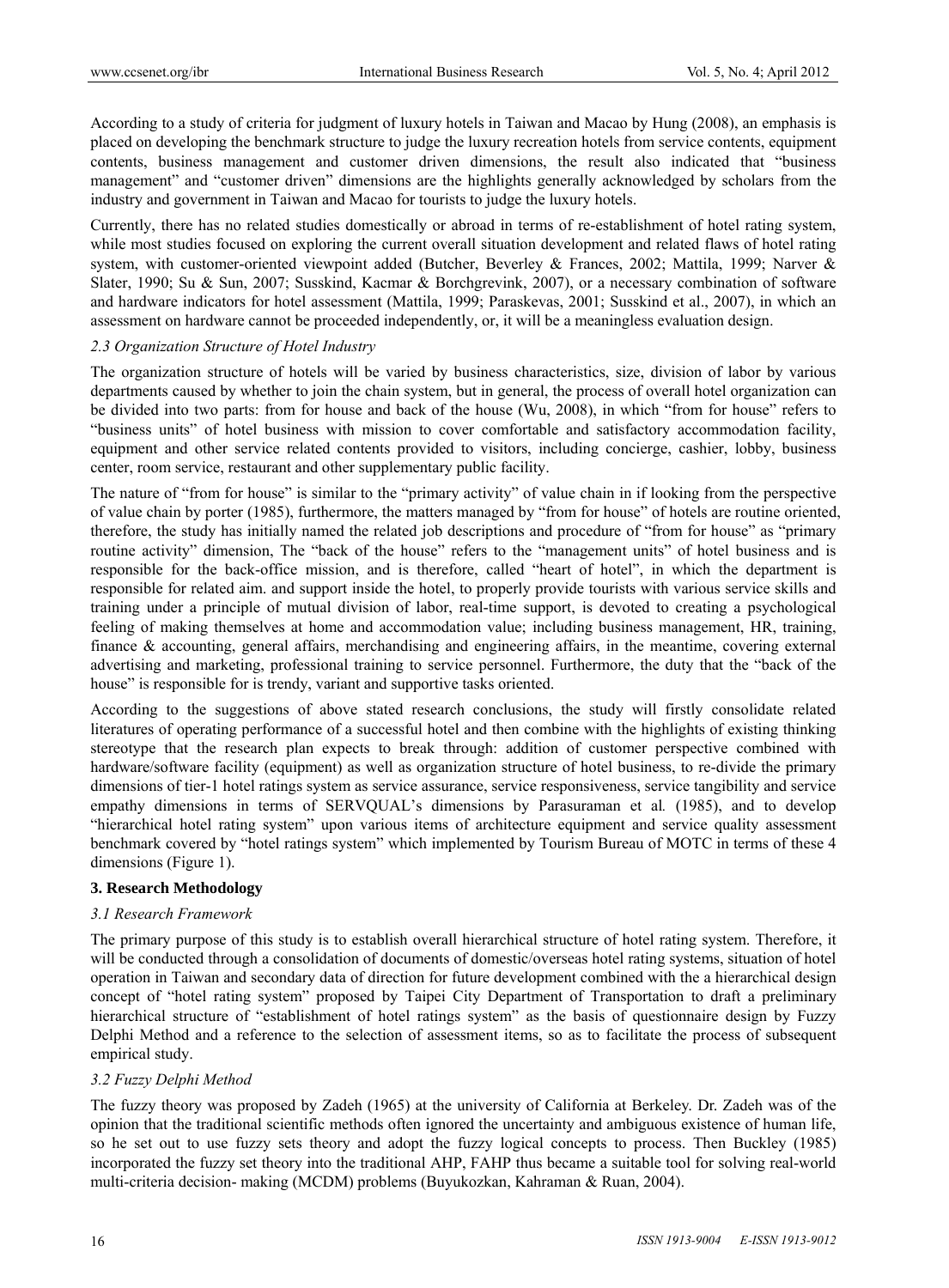According to a study of criteria for judgment of luxury hotels in Taiwan and Macao by Hung (2008), an emphasis is placed on developing the benchmark structure to judge the luxury recreation hotels from service contents, equipment contents, business management and customer driven dimensions, the result also indicated that "business management" and "customer driven" dimensions are the highlights generally acknowledged by scholars from the industry and government in Taiwan and Macao for tourists to judge the luxury hotels.

Currently, there has no related studies domestically or abroad in terms of re-establishment of hotel rating system, while most studies focused on exploring the current overall situation development and related flaws of hotel rating system, with customer-oriented viewpoint added (Butcher, Beverley & Frances, 2002; Mattila, 1999; Narver & Slater, 1990; Su & Sun, 2007; Susskind, Kacmar & Borchgrevink, 2007), or a necessary combination of software and hardware indicators for hotel assessment (Mattila, 1999; Paraskevas, 2001; Susskind et al., 2007), in which an assessment on hardware cannot be proceeded independently, or, it will be a meaningless evaluation design.

#### *2.3 Organization Structure of Hotel Industry*

The organization structure of hotels will be varied by business characteristics, size, division of labor by various departments caused by whether to join the chain system, but in general, the process of overall hotel organization can be divided into two parts: from for house and back of the house (Wu, 2008), in which "from for house" refers to "business units" of hotel business with mission to cover comfortable and satisfactory accommodation facility, equipment and other service related contents provided to visitors, including concierge, cashier, lobby, business center, room service, restaurant and other supplementary public facility.

The nature of "from for house" is similar to the "primary activity" of value chain in if looking from the perspective of value chain by porter (1985), furthermore, the matters managed by "from for house" of hotels are routine oriented, therefore, the study has initially named the related job descriptions and procedure of "from for house" as "primary routine activity" dimension, The "back of the house" refers to the "management units" of hotel business and is responsible for the back-office mission, and is therefore, called "heart of hotel", in which the department is responsible for related aim. and support inside the hotel, to properly provide tourists with various service skills and training under a principle of mutual division of labor, real-time support, is devoted to creating a psychological feeling of making themselves at home and accommodation value; including business management, HR, training, finance & accounting, general affairs, merchandising and engineering affairs, in the meantime, covering external advertising and marketing, professional training to service personnel. Furthermore, the duty that the "back of the house" is responsible for is trendy, variant and supportive tasks oriented.

According to the suggestions of above stated research conclusions, the study will firstly consolidate related literatures of operating performance of a successful hotel and then combine with the highlights of existing thinking stereotype that the research plan expects to break through: addition of customer perspective combined with hardware/software facility (equipment) as well as organization structure of hotel business, to re-divide the primary dimensions of tier-1 hotel ratings system as service assurance, service responsiveness, service tangibility and service empathy dimensions in terms of SERVQUAL's dimensions by Parasuraman et al*.* (1985), and to develop "hierarchical hotel rating system" upon various items of architecture equipment and service quality assessment benchmark covered by "hotel ratings system" which implemented by Tourism Bureau of MOTC in terms of these 4 dimensions (Figure 1).

## **3. Research Methodology**

## *3.1 Research Framework*

The primary purpose of this study is to establish overall hierarchical structure of hotel rating system. Therefore, it will be conducted through a consolidation of documents of domestic/overseas hotel rating systems, situation of hotel operation in Taiwan and secondary data of direction for future development combined with the a hierarchical design concept of "hotel rating system" proposed by Taipei City Department of Transportation to draft a preliminary hierarchical structure of "establishment of hotel ratings system" as the basis of questionnaire design by Fuzzy Delphi Method and a reference to the selection of assessment items, so as to facilitate the process of subsequent empirical study.

## *3.2 Fuzzy Delphi Method*

The fuzzy theory was proposed by Zadeh (1965) at the university of California at Berkeley. Dr. Zadeh was of the opinion that the traditional scientific methods often ignored the uncertainty and ambiguous existence of human life, so he set out to use fuzzy sets theory and adopt the fuzzy logical concepts to process. Then Buckley (1985) incorporated the fuzzy set theory into the traditional AHP, FAHP thus became a suitable tool for solving real-world multi-criteria decision- making (MCDM) problems (Buyukozkan, Kahraman & Ruan, 2004).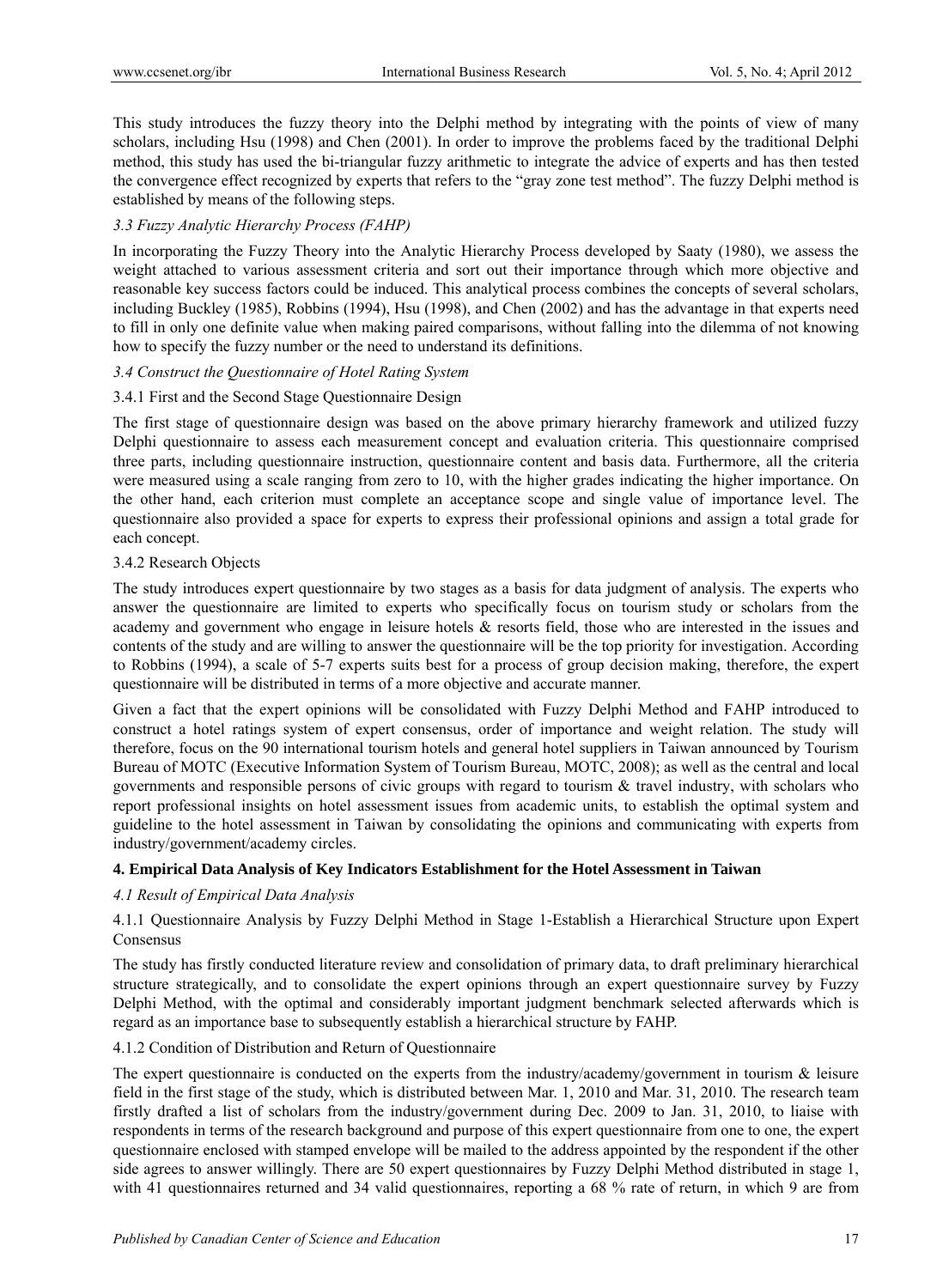This study introduces the fuzzy theory into the Delphi method by integrating with the points of view of many scholars, including Hsu (1998) and Chen (2001). In order to improve the problems faced by the traditional Delphi method, this study has used the bi-triangular fuzzy arithmetic to integrate the advice of experts and has then tested the convergence effect recognized by experts that refers to the "gray zone test method". The fuzzy Delphi method is established by means of the following steps.

# *3.3 Fuzzy Analytic Hierarchy Process (FAHP)*

In incorporating the Fuzzy Theory into the Analytic Hierarchy Process developed by Saaty (1980), we assess the weight attached to various assessment criteria and sort out their importance through which more objective and reasonable key success factors could be induced. This analytical process combines the concepts of several scholars, including Buckley (1985), Robbins (1994), Hsu (1998), and Chen (2002) and has the advantage in that experts need to fill in only one definite value when making paired comparisons, without falling into the dilemma of not knowing how to specify the fuzzy number or the need to understand its definitions.

## *3.4 Construct the Questionnaire of Hotel Rating System*

## 3.4.1 First and the Second Stage Questionnaire Design

The first stage of questionnaire design was based on the above primary hierarchy framework and utilized fuzzy Delphi questionnaire to assess each measurement concept and evaluation criteria. This questionnaire comprised three parts, including questionnaire instruction, questionnaire content and basis data. Furthermore, all the criteria were measured using a scale ranging from zero to 10, with the higher grades indicating the higher importance. On the other hand, each criterion must complete an acceptance scope and single value of importance level. The questionnaire also provided a space for experts to express their professional opinions and assign a total grade for each concept.

## 3.4.2 Research Objects

The study introduces expert questionnaire by two stages as a basis for data judgment of analysis. The experts who answer the questionnaire are limited to experts who specifically focus on tourism study or scholars from the academy and government who engage in leisure hotels & resorts field, those who are interested in the issues and contents of the study and are willing to answer the questionnaire will be the top priority for investigation. According to Robbins (1994), a scale of 5-7 experts suits best for a process of group decision making, therefore, the expert questionnaire will be distributed in terms of a more objective and accurate manner.

Given a fact that the expert opinions will be consolidated with Fuzzy Delphi Method and FAHP introduced to construct a hotel ratings system of expert consensus, order of importance and weight relation. The study will therefore, focus on the 90 international tourism hotels and general hotel suppliers in Taiwan announced by Tourism Bureau of MOTC (Executive Information System of Tourism Bureau, MOTC, 2008); as well as the central and local governments and responsible persons of civic groups with regard to tourism  $\&$  travel industry, with scholars who report professional insights on hotel assessment issues from academic units, to establish the optimal system and guideline to the hotel assessment in Taiwan by consolidating the opinions and communicating with experts from industry/government/academy circles.

## **4. Empirical Data Analysis of Key Indicators Establishment for the Hotel Assessment in Taiwan**

## *4.1 Result of Empirical Data Analysis*

# 4.1.1 Questionnaire Analysis by Fuzzy Delphi Method in Stage 1-Establish a Hierarchical Structure upon Expert Consensus

The study has firstly conducted literature review and consolidation of primary data, to draft preliminary hierarchical structure strategically, and to consolidate the expert opinions through an expert questionnaire survey by Fuzzy Delphi Method, with the optimal and considerably important judgment benchmark selected afterwards which is regard as an importance base to subsequently establish a hierarchical structure by FAHP.

## 4.1.2 Condition of Distribution and Return of Questionnaire

The expert questionnaire is conducted on the experts from the industry/academy/government in tourism & leisure field in the first stage of the study, which is distributed between Mar. 1, 2010 and Mar. 31, 2010. The research team firstly drafted a list of scholars from the industry/government during Dec. 2009 to Jan. 31, 2010, to liaise with respondents in terms of the research background and purpose of this expert questionnaire from one to one, the expert questionnaire enclosed with stamped envelope will be mailed to the address appointed by the respondent if the other side agrees to answer willingly. There are 50 expert questionnaires by Fuzzy Delphi Method distributed in stage 1, with 41 questionnaires returned and 34 valid questionnaires, reporting a 68 % rate of return, in which 9 are from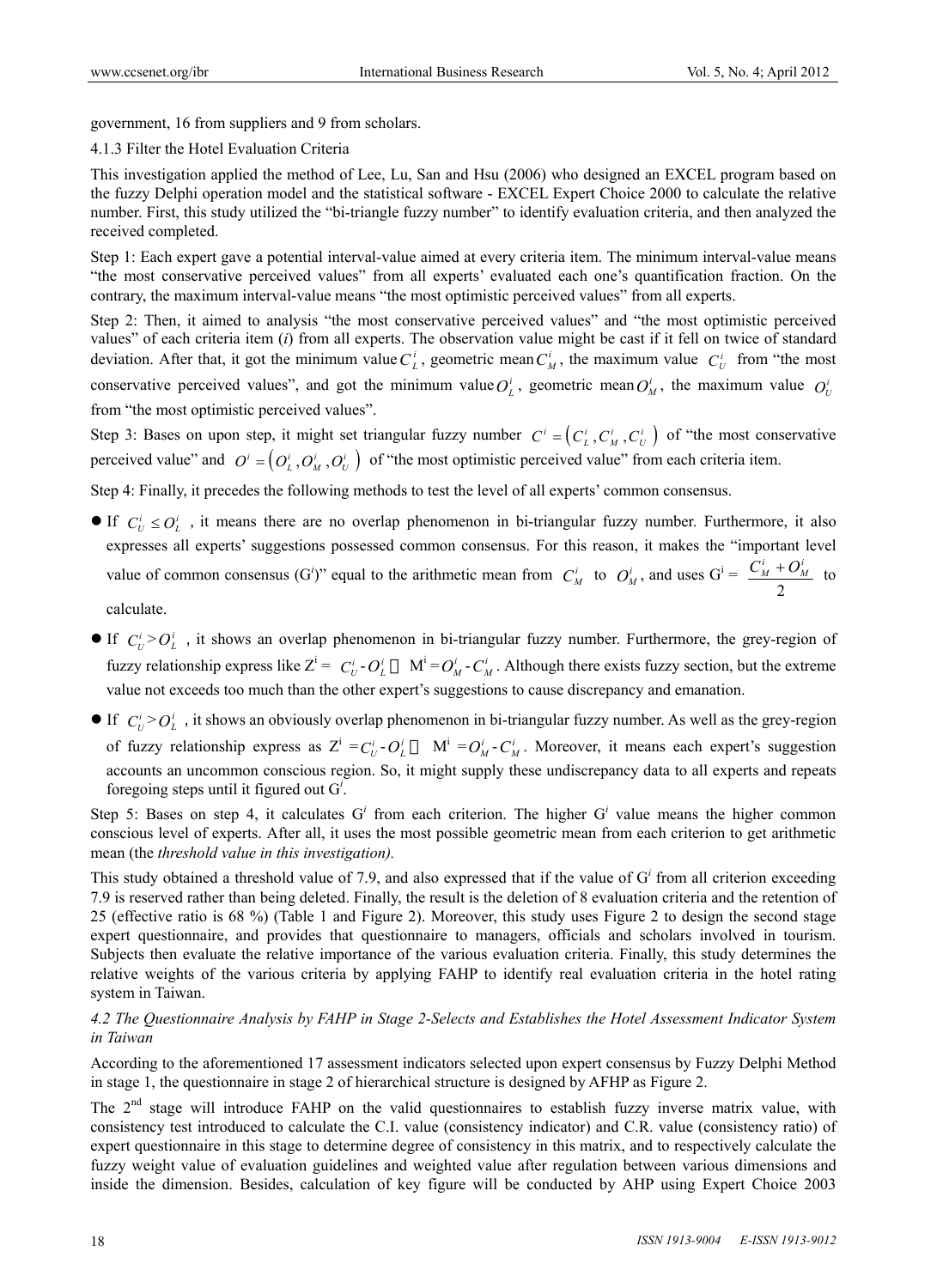government, 16 from suppliers and 9 from scholars.

#### 4.1.3 Filter the Hotel Evaluation Criteria

This investigation applied the method of Lee, Lu, San and Hsu (2006) who designed an EXCEL program based on the fuzzy Delphi operation model and the statistical software - EXCEL Expert Choice 2000 to calculate the relative number. First, this study utilized the "bi-triangle fuzzy number" to identify evaluation criteria, and then analyzed the received completed.

Step 1: Each expert gave a potential interval-value aimed at every criteria item. The minimum interval-value means "the most conservative perceived values" from all experts' evaluated each one's quantification fraction. On the contrary, the maximum interval-value means "the most optimistic perceived values" from all experts.

Step 2: Then, it aimed to analysis "the most conservative perceived values" and "the most optimistic perceived values" of each criteria item (*i*) from all experts. The observation value might be cast if it fell on twice of standard deviation. After that, it got the minimum value  $C_L^i$ , geometric mean  $C_M^i$ , the maximum value  $C_U^i$  from "the most conservative perceived values", and got the minimum value  $O<sub>L</sub><sup>i</sup>$ , geometric mean  $O<sub>M</sub><sup>i</sup>$ , the maximum value  $O<sub>U</sub><sup>i</sup>$ from "the most optimistic perceived values".

Step 3: Bases on upon step, it might set triangular fuzzy number  $C^i = (C^i_L, C^i_M, C^i_U)$  of "the most conservative perceived value" and  $O^i = (O_L^i, O_M^i, O_U^i)$  of "the most optimistic perceived value" from each criteria item.

Step 4: Finally, it precedes the following methods to test the level of all experts' common consensus.

- If  $C_U^i \leq O_L^i$ , it means there are no overlap phenomenon in bi-triangular fuzzy number. Furthermore, it also expresses all experts' suggestions possessed common consensus. For this reason, it makes the "important level value of common consensus (G<sup>*i*</sup>)" equal to the arithmetic mean from  $C_M^i$  to  $O_M^i$ , and uses  $G^i = \frac{C_M^i + O_M^i}{2}$  to calculate.
- If  $C_U^i > O_L^i$ , it shows an overlap phenomenon in bi-triangular fuzzy number. Furthermore, the grey-region of fuzzy relationship express like  $Z^i = C^i_U - O^i_L$   $M^i = O^i_M - C^i_M$ . Although there exists fuzzy section, but the extreme value not exceeds too much than the other expert's suggestions to cause discrepancy and emanation.
- If  $C_U^i > O_L^i$ , it shows an obviously overlap phenomenon in bi-triangular fuzzy number. As well as the grey-region of fuzzy relationship express as  $Z^i = C^i_U - O^i_L$   $M^i = O^i_M - C^i_M$ . Moreover, it means each expert's suggestion accounts an uncommon conscious region. So, it might supply these undiscrepancy data to all experts and repeats foregoing steps until it figured out G*<sup>i</sup>* .

Step 5: Bases on step 4, it calculates  $G<sup>i</sup>$  from each criterion. The higher  $G<sup>i</sup>$  value means the higher common conscious level of experts. After all, it uses the most possible geometric mean from each criterion to get arithmetic mean (the *threshold value in this investigation).*

This study obtained a threshold value of  $7.9$ , and also expressed that if the value of  $G<sup>i</sup>$  from all criterion exceeding 7.9 is reserved rather than being deleted. Finally, the result is the deletion of 8 evaluation criteria and the retention of 25 (effective ratio is 68 %) (Table 1 and Figure 2). Moreover, this study uses Figure 2 to design the second stage expert questionnaire, and provides that questionnaire to managers, officials and scholars involved in tourism. Subjects then evaluate the relative importance of the various evaluation criteria. Finally, this study determines the relative weights of the various criteria by applying FAHP to identify real evaluation criteria in the hotel rating system in Taiwan.

## *4.2 The Questionnaire Analysis by FAHP in Stage 2-Selects and Establishes the Hotel Assessment Indicator System in Taiwan*

According to the aforementioned 17 assessment indicators selected upon expert consensus by Fuzzy Delphi Method in stage 1, the questionnaire in stage 2 of hierarchical structure is designed by AFHP as Figure 2.

The 2<sup>nd</sup> stage will introduce FAHP on the valid questionnaires to establish fuzzy inverse matrix value, with consistency test introduced to calculate the C.I. value (consistency indicator) and C.R. value (consistency ratio) of expert questionnaire in this stage to determine degree of consistency in this matrix, and to respectively calculate the fuzzy weight value of evaluation guidelines and weighted value after regulation between various dimensions and inside the dimension. Besides, calculation of key figure will be conducted by AHP using Expert Choice 2003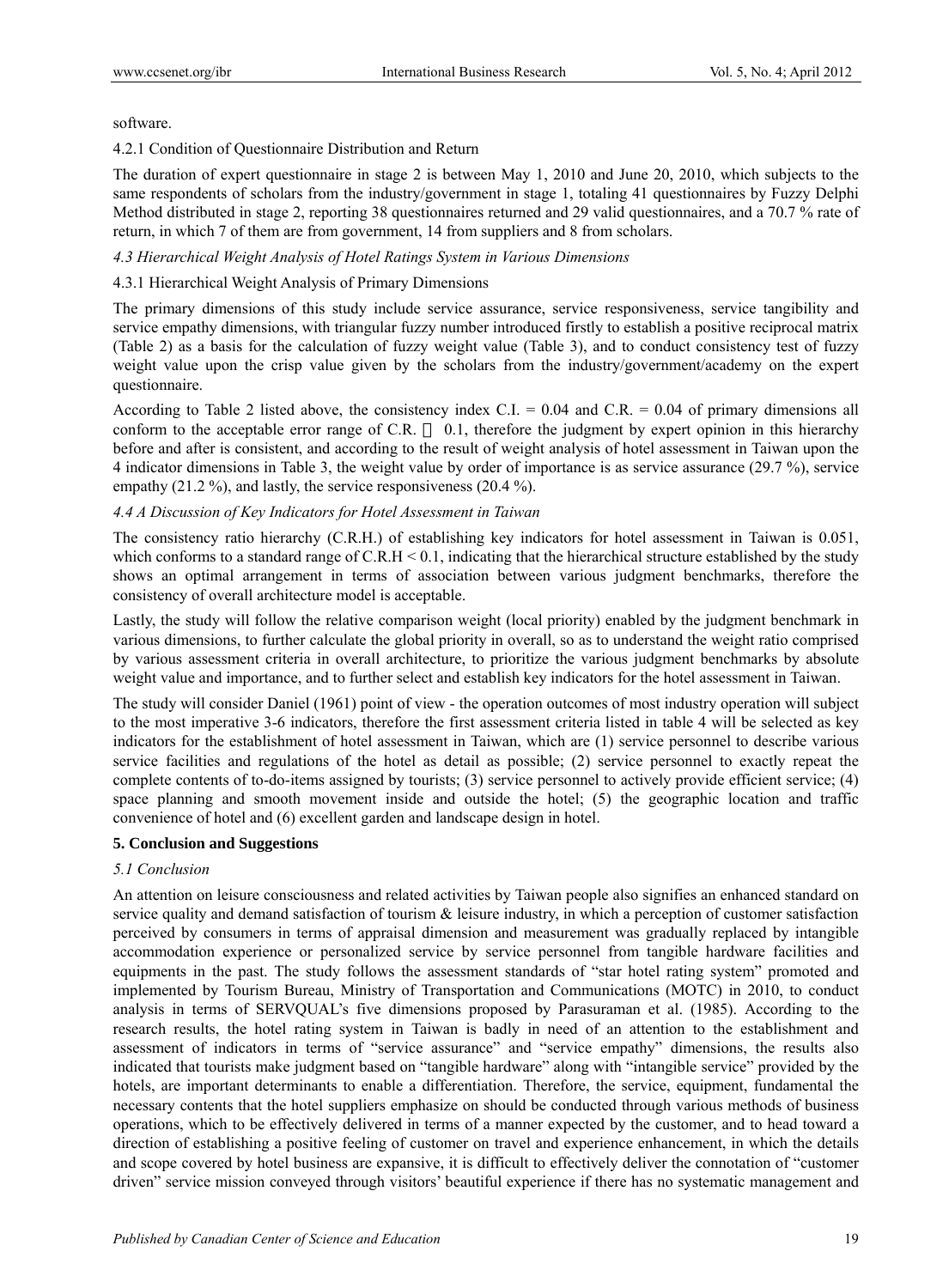#### software.

## 4.2.1 Condition of Questionnaire Distribution and Return

The duration of expert questionnaire in stage 2 is between May 1, 2010 and June 20, 2010, which subjects to the same respondents of scholars from the industry/government in stage 1, totaling 41 questionnaires by Fuzzy Delphi Method distributed in stage 2, reporting 38 questionnaires returned and 29 valid questionnaires, and a 70.7 % rate of return, in which 7 of them are from government, 14 from suppliers and 8 from scholars.

## *4.3 Hierarchical Weight Analysis of Hotel Ratings System in Various Dimensions*

## 4.3.1 Hierarchical Weight Analysis of Primary Dimensions

The primary dimensions of this study include service assurance, service responsiveness, service tangibility and service empathy dimensions, with triangular fuzzy number introduced firstly to establish a positive reciprocal matrix (Table 2) as a basis for the calculation of fuzzy weight value (Table 3), and to conduct consistency test of fuzzy weight value upon the crisp value given by the scholars from the industry/government/academy on the expert questionnaire.

According to Table 2 listed above, the consistency index C.I.  $= 0.04$  and C.R.  $= 0.04$  of primary dimensions all conform to the acceptable error range of C.R. 0.1, therefore the judgment by expert opinion in this hierarchy before and after is consistent, and according to the result of weight analysis of hotel assessment in Taiwan upon the 4 indicator dimensions in Table 3, the weight value by order of importance is as service assurance (29.7 %), service empathy (21.2 %), and lastly, the service responsiveness (20.4 %).

## *4.4 A Discussion of Key Indicators for Hotel Assessment in Taiwan*

The consistency ratio hierarchy (C.R.H.) of establishing key indicators for hotel assessment in Taiwan is 0.051, which conforms to a standard range of  $C.R.H < 0.1$ , indicating that the hierarchical structure established by the study shows an optimal arrangement in terms of association between various judgment benchmarks, therefore the consistency of overall architecture model is acceptable.

Lastly, the study will follow the relative comparison weight (local priority) enabled by the judgment benchmark in various dimensions, to further calculate the global priority in overall, so as to understand the weight ratio comprised by various assessment criteria in overall architecture, to prioritize the various judgment benchmarks by absolute weight value and importance, and to further select and establish key indicators for the hotel assessment in Taiwan.

The study will consider Daniel (1961) point of view - the operation outcomes of most industry operation will subject to the most imperative 3-6 indicators, therefore the first assessment criteria listed in table 4 will be selected as key indicators for the establishment of hotel assessment in Taiwan, which are (1) service personnel to describe various service facilities and regulations of the hotel as detail as possible; (2) service personnel to exactly repeat the complete contents of to-do-items assigned by tourists; (3) service personnel to actively provide efficient service; (4) space planning and smooth movement inside and outside the hotel; (5) the geographic location and traffic convenience of hotel and (6) excellent garden and landscape design in hotel.

## **5. Conclusion and Suggestions**

# *5.1 Conclusion*

An attention on leisure consciousness and related activities by Taiwan people also signifies an enhanced standard on service quality and demand satisfaction of tourism & leisure industry, in which a perception of customer satisfaction perceived by consumers in terms of appraisal dimension and measurement was gradually replaced by intangible accommodation experience or personalized service by service personnel from tangible hardware facilities and equipments in the past. The study follows the assessment standards of "star hotel rating system" promoted and implemented by Tourism Bureau, Ministry of Transportation and Communications (MOTC) in 2010, to conduct analysis in terms of SERVQUAL's five dimensions proposed by Parasuraman et al. (1985). According to the research results, the hotel rating system in Taiwan is badly in need of an attention to the establishment and assessment of indicators in terms of "service assurance" and "service empathy" dimensions, the results also indicated that tourists make judgment based on "tangible hardware" along with "intangible service" provided by the hotels, are important determinants to enable a differentiation. Therefore, the service, equipment, fundamental the necessary contents that the hotel suppliers emphasize on should be conducted through various methods of business operations, which to be effectively delivered in terms of a manner expected by the customer, and to head toward a direction of establishing a positive feeling of customer on travel and experience enhancement, in which the details and scope covered by hotel business are expansive, it is difficult to effectively deliver the connotation of "customer driven" service mission conveyed through visitors' beautiful experience if there has no systematic management and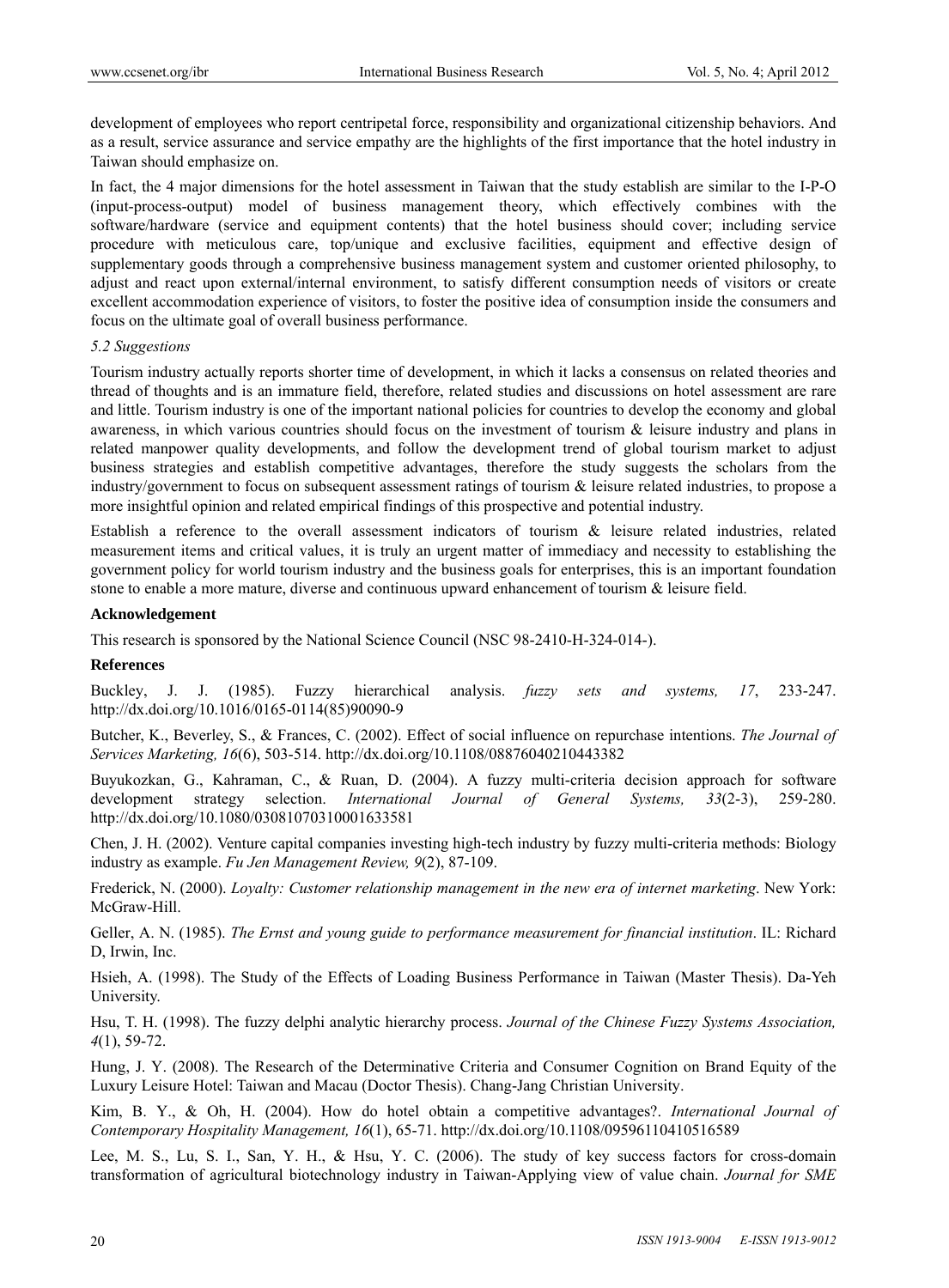development of employees who report centripetal force, responsibility and organizational citizenship behaviors. And as a result, service assurance and service empathy are the highlights of the first importance that the hotel industry in Taiwan should emphasize on.

In fact, the 4 major dimensions for the hotel assessment in Taiwan that the study establish are similar to the I-P-O (input-process-output) model of business management theory, which effectively combines with the software/hardware (service and equipment contents) that the hotel business should cover; including service procedure with meticulous care, top/unique and exclusive facilities, equipment and effective design of supplementary goods through a comprehensive business management system and customer oriented philosophy, to adjust and react upon external/internal environment, to satisfy different consumption needs of visitors or create excellent accommodation experience of visitors, to foster the positive idea of consumption inside the consumers and focus on the ultimate goal of overall business performance.

#### *5.2 Suggestions*

Tourism industry actually reports shorter time of development, in which it lacks a consensus on related theories and thread of thoughts and is an immature field, therefore, related studies and discussions on hotel assessment are rare and little. Tourism industry is one of the important national policies for countries to develop the economy and global awareness, in which various countries should focus on the investment of tourism & leisure industry and plans in related manpower quality developments, and follow the development trend of global tourism market to adjust business strategies and establish competitive advantages, therefore the study suggests the scholars from the industry/government to focus on subsequent assessment ratings of tourism & leisure related industries, to propose a more insightful opinion and related empirical findings of this prospective and potential industry.

Establish a reference to the overall assessment indicators of tourism & leisure related industries, related measurement items and critical values, it is truly an urgent matter of immediacy and necessity to establishing the government policy for world tourism industry and the business goals for enterprises, this is an important foundation stone to enable a more mature, diverse and continuous upward enhancement of tourism & leisure field.

#### **Acknowledgement**

This research is sponsored by the National Science Council (NSC 98-2410-H-324-014-).

## **References**

Buckley, J. J. (1985). Fuzzy hierarchical analysis. *fuzzy sets and systems, 17*, 233-247. http://dx.doi.org/10.1016/0165-0114(85)90090-9

Butcher, K., Beverley, S., & Frances, C. (2002). Effect of social influence on repurchase intentions. *The Journal of Services Marketing, 16*(6), 503-514. http://dx.doi.org/10.1108/08876040210443382

Buyukozkan, G., Kahraman, C., & Ruan, D. (2004). A fuzzy multi-criteria decision approach for software development strategy selection. *International Journal of General Systems, 33*(2-3), 259-280. http://dx.doi.org/10.1080/03081070310001633581

Chen, J. H. (2002). Venture capital companies investing high-tech industry by fuzzy multi-criteria methods: Biology industry as example. *Fu Jen Management Review, 9*(2), 87-109.

Frederick, N. (2000). *Loyalty: Customer relationship management in the new era of internet marketing*. New York: McGraw-Hill.

Geller, A. N. (1985). *The Ernst and young guide to performance measurement for financial institution*. IL: Richard D, Irwin, Inc.

Hsieh, A. (1998). The Study of the Effects of Loading Business Performance in Taiwan (Master Thesis). Da-Yeh University.

Hsu, T. H. (1998). The fuzzy delphi analytic hierarchy process. *Journal of the Chinese Fuzzy Systems Association, 4*(1), 59-72.

Hung, J. Y. (2008). The Research of the Determinative Criteria and Consumer Cognition on Brand Equity of the Luxury Leisure Hotel: Taiwan and Macau (Doctor Thesis). Chang-Jang Christian University.

Kim, B. Y., & Oh, H. (2004). How do hotel obtain a competitive advantages?. *International Journal of Contemporary Hospitality Management, 16*(1), 65-71. http://dx.doi.org/10.1108/09596110410516589

Lee, M. S., Lu, S. I., San, Y. H., & Hsu, Y. C. (2006). The study of key success factors for cross-domain transformation of agricultural biotechnology industry in Taiwan-Applying view of value chain. *Journal for SME*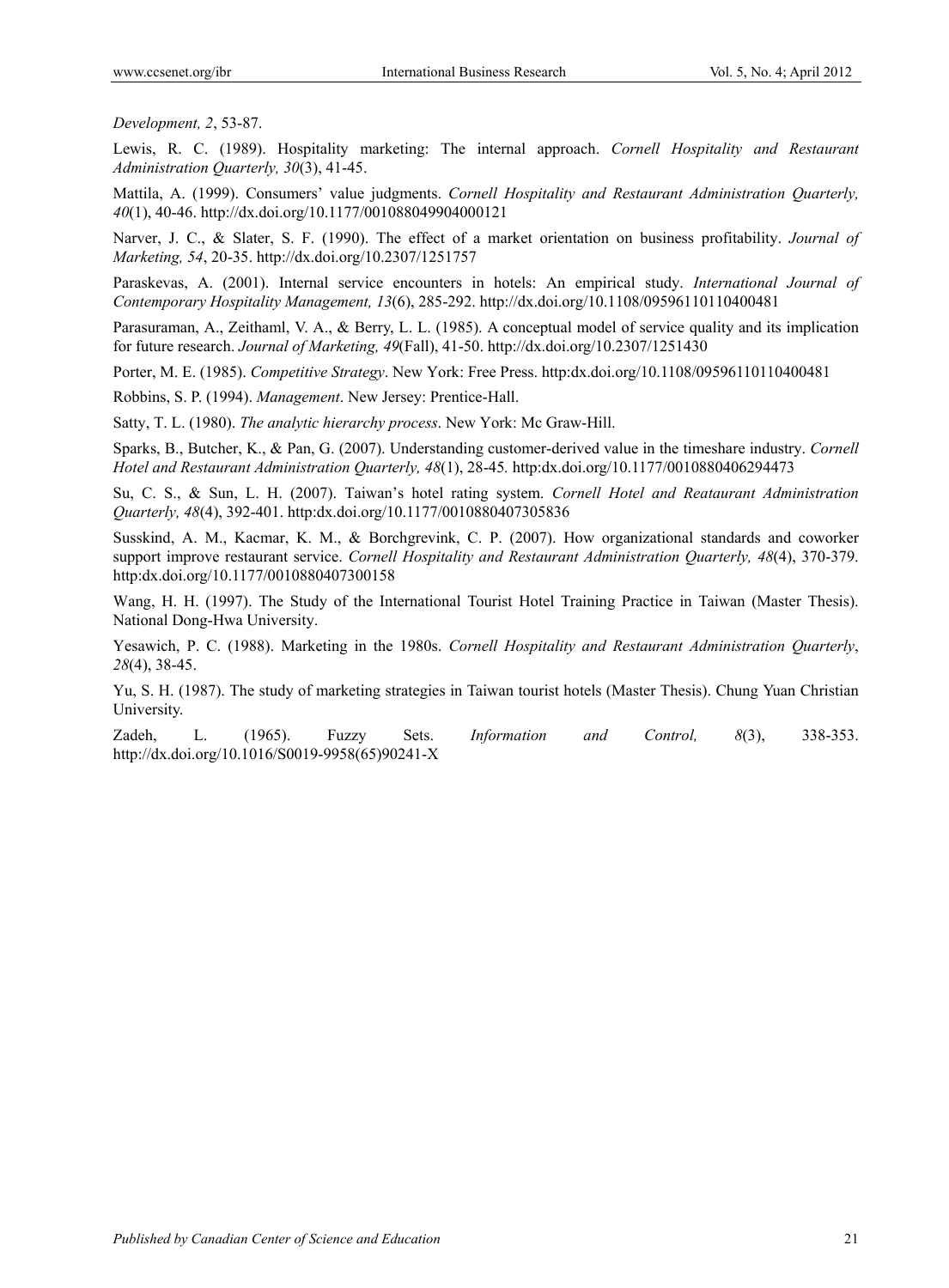*Development, 2*, 53-87.

Lewis, R. C. (1989). Hospitality marketing: The internal approach. *Cornell Hospitality and Restaurant Administration Quarterly, 30*(3), 41-45.

Mattila, A. (1999). Consumers' value judgments. *Cornell Hospitality and Restaurant Administration Quarterly, 40*(1), 40-46. http://dx.doi.org/10.1177/001088049904000121

Narver, J. C., & Slater, S. F. (1990). The effect of a market orientation on business profitability. *Journal of Marketing, 54*, 20-35. http://dx.doi.org/10.2307/1251757

Paraskevas, A. (2001). Internal service encounters in hotels: An empirical study. *International Journal of Contemporary Hospitality Management, 13*(6), 285-292. http://dx.doi.org/10.1108/09596110110400481

Parasuraman, A., Zeithaml, V. A., & Berry, L. L. (1985). A conceptual model of service quality and its implication for future research. *Journal of Marketing, 49*(Fall), 41-50. http://dx.doi.org/10.2307/1251430

Porter, M. E. (1985). *Competitive Strategy*. New York: Free Press. http:dx.doi.org/10.1108/09596110110400481

Robbins, S. P. (1994). *Management*. New Jersey: Prentice-Hall.

Satty, T. L. (1980). *The analytic hierarchy process*. New York: Mc Graw-Hill.

Sparks, B., Butcher, K., & Pan, G. (2007). Understanding customer-derived value in the timeshare industry. *Cornell Hotel and Restaurant Administration Quarterly, 48*(1), 28-45*.* http:dx.doi.org/10.1177/0010880406294473

Su, C. S., & Sun, L. H. (2007). Taiwan's hotel rating system. *Cornell Hotel and Reataurant Administration Quarterly, 48*(4), 392-401. http:dx.doi.org/10.1177/0010880407305836

Susskind, A. M., Kacmar, K. M., & Borchgrevink, C. P. (2007). How organizational standards and coworker support improve restaurant service. *Cornell Hospitality and Restaurant Administration Quarterly, 48*(4), 370-379. http:dx.doi.org/10.1177/0010880407300158

Wang, H. H. (1997). The Study of the International Tourist Hotel Training Practice in Taiwan (Master Thesis). National Dong-Hwa University.

Yesawich, P. C. (1988). Marketing in the 1980s. *Cornell Hospitality and Restaurant Administration Quarterly*, *28*(4), 38-45.

Yu, S. H. (1987). The study of marketing strategies in Taiwan tourist hotels (Master Thesis). Chung Yuan Christian University.

Zadeh, L. (1965). Fuzzy Sets. *Information and Control, 8*(3), 338-353. http://dx.doi.org/10.1016/S0019-9958(65)90241-X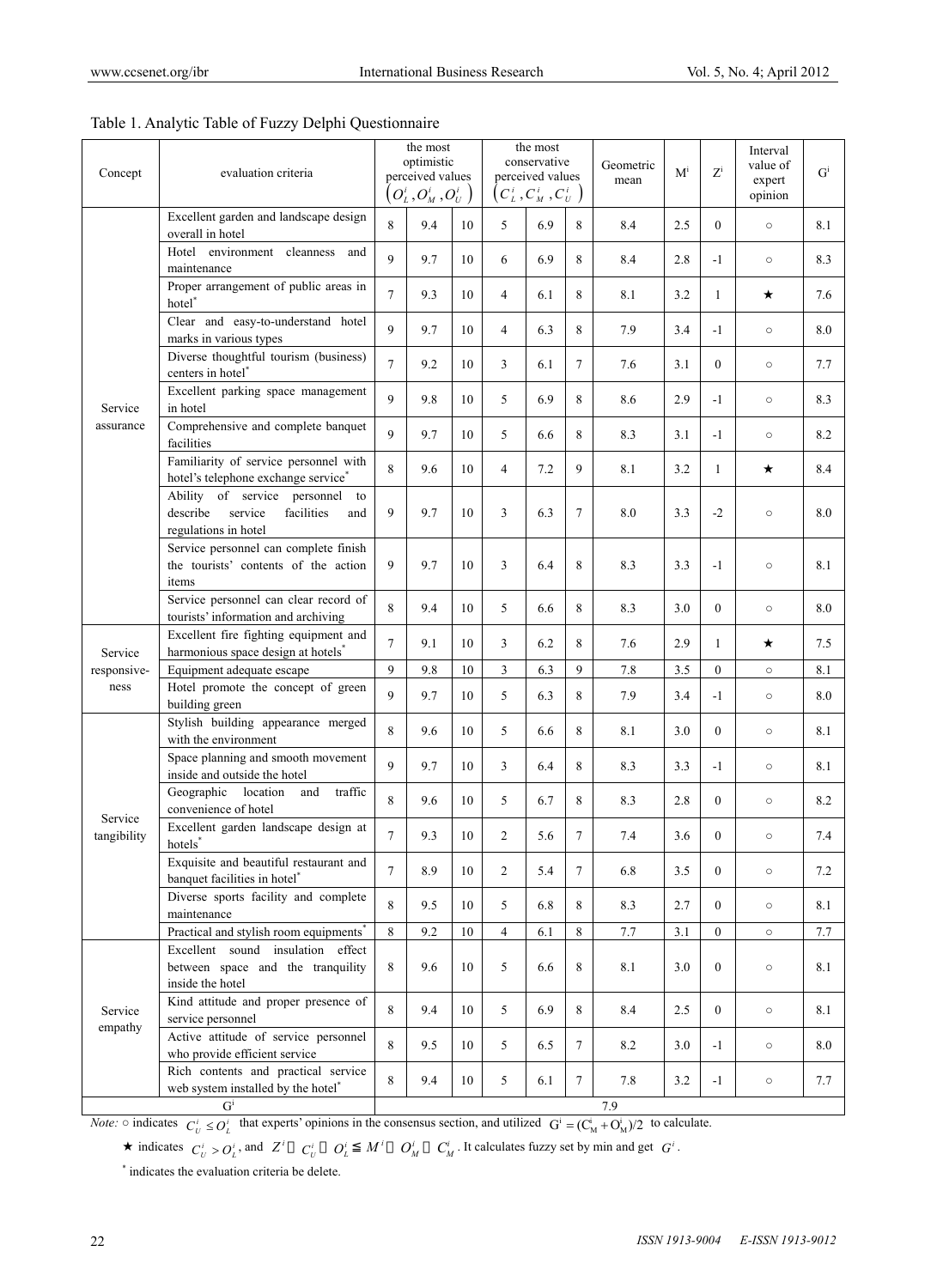| Concept                | evaluation criteria                                                                                              | the most<br>optimistic<br>perceived values<br>$\left[O_L^i,O_M^i\,,O_U^i\right]$ |     | the most<br>conservative<br>perceived values<br>$\left( C_{L}^{i}\,,C_{M}^{i}\,\,,C_{U}^{i}\,\,\right)$ |                | Geometric<br>mean | $\mathbf{M}^i$  | $\mathbf{Z}^\text{i}$ | Interval<br>value of<br>expert<br>opinion | $G^i$            |         |     |
|------------------------|------------------------------------------------------------------------------------------------------------------|----------------------------------------------------------------------------------|-----|---------------------------------------------------------------------------------------------------------|----------------|-------------------|-----------------|-----------------------|-------------------------------------------|------------------|---------|-----|
|                        | Excellent garden and landscape design<br>overall in hotel                                                        | 8                                                                                | 9.4 | 10                                                                                                      | 5              | 6.9               | 8               | 8.4                   | 2.5                                       | $\theta$         | $\circ$ | 8.1 |
|                        | Hotel environment cleanness and<br>maintenance                                                                   | $\mathbf{Q}$                                                                     | 9.7 | 10                                                                                                      | 6              | 6.9               | 8               | 8.4                   | 2.8                                       | $-1$             | $\circ$ | 8.3 |
|                        | Proper arrangement of public areas in<br>hotel <sup>*</sup>                                                      | $\overline{7}$                                                                   | 9.3 | 10                                                                                                      | 4              | 6.1               | 8               | 8.1                   | 3.2                                       | 1                |         | 7.6 |
|                        | Clear and easy-to-understand hotel<br>marks in various types                                                     | 9                                                                                | 9.7 | 10                                                                                                      | 4              | 6.3               | 8               | 7.9                   | 3.4                                       | $-1$             | $\circ$ | 8.0 |
|                        | Diverse thoughtful tourism (business)<br>centers in hotel <sup>*</sup>                                           | $\overline{7}$                                                                   | 9.2 | 10                                                                                                      | 3              | 6.1               | $\overline{7}$  | 7.6                   | 3.1                                       | $\mathbf{0}$     | $\circ$ | 7.7 |
| Service                | Excellent parking space management<br>in hotel                                                                   | $\mathbf{Q}$                                                                     | 9.8 | 10                                                                                                      | 5              | 6.9               | 8               | 8.6                   | 2.9                                       | $-1$             | $\circ$ | 8.3 |
| assurance              | Comprehensive and complete banquet<br>facilities                                                                 | 9                                                                                | 9.7 | 10                                                                                                      | 5              | 6.6               | 8               | 8.3                   | 3.1                                       | $-1$             | $\circ$ | 8.2 |
|                        | Familiarity of service personnel with<br>hotel's telephone exchange service*                                     | 8                                                                                | 9.6 | 10                                                                                                      | 4              | 7.2               | 9               | 8.1                   | 3.2                                       | 1                |         | 8.4 |
|                        | Ability of service personnel<br>to<br>describe<br>service<br>facilities<br>and<br>regulations in hotel           | 9                                                                                | 9.7 | 10                                                                                                      | 3              | 6.3               | 7               | 8.0                   | 3.3                                       | $-2$             | $\circ$ | 8.0 |
|                        | Service personnel can complete finish<br>the tourists' contents of the action<br>items                           | 9                                                                                | 9.7 | 10                                                                                                      | 3              | 6.4               | 8               | 8.3                   | 3.3                                       | $-1$             | $\circ$ | 8.1 |
|                        | Service personnel can clear record of<br>tourists' information and archiving                                     | 8                                                                                | 9.4 | 10                                                                                                      | 5              | 6.6               | 8               | 8.3                   | 3.0                                       | $\theta$         | $\circ$ | 8.0 |
| Service                | Excellent fire fighting equipment and<br>harmonious space design at hotels <sup>*</sup>                          | $\overline{7}$                                                                   | 9.1 | 10                                                                                                      | 3              | 6.2               | 8               | 7.6                   | 2.9                                       | $\mathbf{1}$     |         | 7.5 |
| responsive-            | Equipment adequate escape                                                                                        | 9                                                                                | 9.8 | 10                                                                                                      | 3              | 6.3               | 9               | 7.8                   | 3.5                                       | $\overline{0}$   | $\circ$ | 8.1 |
| ness                   | Hotel promote the concept of green<br>building green                                                             | 9                                                                                | 9.7 | 10                                                                                                      | 5              | 6.3               | 8               | 7.9                   | 3.4                                       | $-1$             | $\circ$ | 8.0 |
|                        | Stylish building appearance merged<br>with the environment                                                       | 8                                                                                | 9.6 | 10                                                                                                      | 5              | 6.6               | 8               | 8.1                   | 3.0                                       | $\mathbf{0}$     | $\circ$ | 8.1 |
|                        | Space planning and smooth movement<br>inside and outside the hotel                                               | 9                                                                                | 9.7 | 10                                                                                                      | 3              | 6.4               | 8               | 8.3                   | 3.3                                       | $-1$             | $\circ$ | 8.1 |
|                        | Geographic location<br>and<br>traffic<br>convenience of hotel                                                    | 8                                                                                | 9.6 | 10                                                                                                      | 5              | 6.7               | 8               | 8.3                   | 2.8                                       | $\overline{0}$   | $\circ$ | 8.2 |
| Service<br>tangibility | Excellent garden landscape design at<br>hotels*                                                                  | $\overline{7}$                                                                   | 9.3 | 10                                                                                                      | $\overline{2}$ | 5.6               | 7               | 7.4                   | 3.6                                       | $\overline{0}$   | $\circ$ | 7.4 |
|                        | Exquisite and beautiful restaurant and<br>banquet facilities in hotel*                                           | $\overline{7}$                                                                   | 8.9 | 10                                                                                                      | $\overline{2}$ | 5.4               | 7               | 6.8                   | 3.5                                       | $\mathbf{0}$     | $\circ$ | 7.2 |
|                        | Diverse sports facility and complete<br>maintenance                                                              | 8                                                                                | 9.5 | 10                                                                                                      | 5              | 6.8               | 8               | 8.3                   | 2.7                                       | $\mathbf{0}$     | $\circ$ | 8.1 |
|                        | Practical and stylish room equipments <sup>*</sup>                                                               | 8                                                                                | 9.2 | 10                                                                                                      | $\overline{4}$ | 6.1               | 8               | 7.7                   | 3.1                                       | $\mathbf{0}$     | $\circ$ | 7.7 |
| Service<br>empathy     | Excellent sound insulation effect<br>between space and the tranquility<br>inside the hotel                       | 8                                                                                | 9.6 | 10                                                                                                      | 5              | 6.6               | 8               | 8.1                   | 3.0                                       | $\boldsymbol{0}$ | $\circ$ | 8.1 |
|                        | Kind attitude and proper presence of<br>service personnel                                                        | 8                                                                                | 9.4 | 10                                                                                                      | 5              | 6.9               | 8               | 8.4                   | 2.5                                       | $\boldsymbol{0}$ | $\circ$ | 8.1 |
|                        | Active attitude of service personnel<br>who provide efficient service                                            | 8                                                                                | 9.5 | 10                                                                                                      | 5              | 6.5               | $\tau$          | 8.2                   | 3.0                                       | $-1$             | $\circ$ | 8.0 |
|                        | Rich contents and practical service<br>web system installed by the hotel <sup>*</sup><br>$\mathbf{G}^{\text{i}}$ | 8                                                                                | 9.4 | 10                                                                                                      | 5              | 6.1               | $7\overline{ }$ | 7.8                   | 3.2                                       | $-1$             | $\circ$ | 7.7 |
|                        |                                                                                                                  |                                                                                  |     |                                                                                                         |                |                   | 7.9             |                       |                                           |                  |         |     |

*Note:*  $\circ$  indicates  $C_U^i \leq O_L^i$  that experts' opinions in the consensus section, and utilized  $G^i = (C_M^i + O_M^i)/2$  to calculate.

indicates  $C_U^i > O_L^i$ , and  $Z^i$   $C_U^i$   $O_L^i$   $M^i$   $O_M^i$   $C_M^i$ . It calculates fuzzy set by min and get  $G^i$ .

 $*$  indicates the evaluation criteria be delete.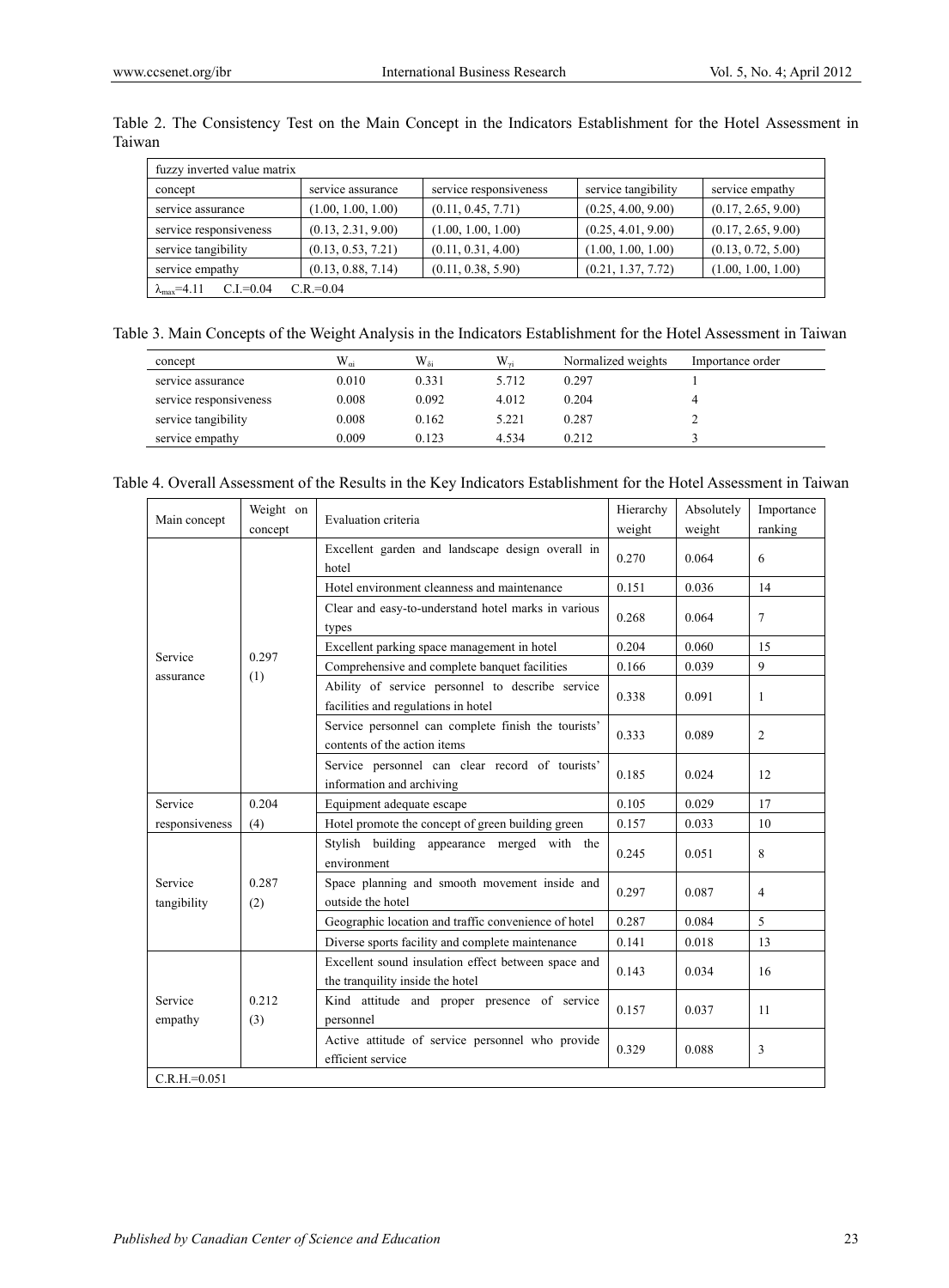| fuzzy inverted value matrix                  |                    |                        |                     |                    |
|----------------------------------------------|--------------------|------------------------|---------------------|--------------------|
| concept                                      | service assurance  | service responsiveness | service tangibility | service empathy    |
| service assurance                            | (1.00, 1.00, 1.00) | (0.11, 0.45, 7.71)     | (0.25, 4.00, 9.00)  | (0.17, 2.65, 9.00) |
| service responsiveness                       | (0.13, 2.31, 9.00) | (1.00, 1.00, 1.00)     | (0.25, 4.01, 9.00)  | (0.17, 2.65, 9.00) |
| service tangibility                          | (0.13, 0.53, 7.21) | (0.11, 0.31, 4.00)     | (1.00, 1.00, 1.00)  | (0.13, 0.72, 5.00) |
| service empathy                              | (0.13, 0.88, 7.14) | (0.11, 0.38, 5.90)     | (0.21, 1.37, 7.72)  | (1.00, 1.00, 1.00) |
| $C.I = 0.04$<br>$\lambda_{\text{max}}$ =4.11 | $C.R = 0.04$       |                        |                     |                    |

Table 2. The Consistency Test on the Main Concept in the Indicators Establishment for the Hotel Assessment in Taiwan

Table 3. Main Concepts of the Weight Analysis in the Indicators Establishment for the Hotel Assessment in Taiwan

| concept                | $\mathrm{W}_{ai}$ | $\rm W_{\delta i}$ | $W_{\rm{w}}$ | Normalized weights | Importance order |
|------------------------|-------------------|--------------------|--------------|--------------------|------------------|
| service assurance      | 0.010             | 0.331              | 5.712        | 0.297              |                  |
| service responsiveness | 0.008             | 0.092              | 4.012        | 0.204              |                  |
| service tangibility    | 0.008             | 0.162              | 5.221        | 0.287              |                  |
| service empathy        | 0.009             | 0.123              | 4.534        | 0.212              |                  |

Table 4. Overall Assessment of the Results in the Key Indicators Establishment for the Hotel Assessment in Taiwan

| Main concept                           | Weight on<br>concept | Evaluation criteria                                                                     | Hierarchy<br>weight | Absolutely<br>weight | Importance<br>ranking |  |  |
|----------------------------------------|----------------------|-----------------------------------------------------------------------------------------|---------------------|----------------------|-----------------------|--|--|
|                                        |                      | Excellent garden and landscape design overall in<br>hotel                               | 0.270               | 0.064                | 6                     |  |  |
|                                        |                      | Hotel environment cleanness and maintenance                                             | 0.151               | 0.036                | 14                    |  |  |
|                                        |                      | Clear and easy-to-understand hotel marks in various<br>types                            | 0.268               | 0.064                | $\tau$                |  |  |
| Service                                | 0.297<br>(1)         | Excellent parking space management in hotel                                             | 0.204               | 0.060                | 15                    |  |  |
|                                        |                      | Comprehensive and complete banquet facilities                                           | 0.166               | 0.039                | 9                     |  |  |
| assurance                              |                      | Ability of service personnel to describe service<br>facilities and regulations in hotel | 0.338               | 0.091                | $\mathbf{1}$          |  |  |
|                                        |                      | Service personnel can complete finish the tourists'<br>contents of the action items     | 0.333               | 0.089                | $\overline{2}$        |  |  |
|                                        |                      | Service personnel can clear record of tourists'<br>information and archiving            | 0.185               | 0.024                | 12                    |  |  |
| Service                                | 0.204                | Equipment adequate escape                                                               | 0.105               | 0.029                | 17                    |  |  |
| responsiveness                         | (4)                  | Hotel promote the concept of green building green                                       | 0.157               | 0.033                | 10                    |  |  |
|                                        |                      | Stylish building appearance merged with the<br>environment                              | 0.245               | 0.051                | 8                     |  |  |
| Service<br>0.287<br>tangibility<br>(2) |                      | Space planning and smooth movement inside and<br>outside the hotel                      | 0.297               | 0.087                | $\overline{4}$        |  |  |
|                                        |                      | Geographic location and traffic convenience of hotel                                    | 0.287               | 0.084                | $\mathfrak{S}$        |  |  |
|                                        |                      | Diverse sports facility and complete maintenance                                        | 0.141               | 0.018                | 13                    |  |  |
|                                        |                      | Excellent sound insulation effect between space and<br>the tranquility inside the hotel | 0.143               | 0.034                | 16                    |  |  |
| Service<br>empathy                     | 0.212<br>(3)         | Kind attitude and proper presence of service<br>personnel                               | 0.157               | 0.037                | 11                    |  |  |
|                                        |                      | Active attitude of service personnel who provide<br>efficient service                   | 0.329               | 0.088                | 3                     |  |  |
| $C.R.H.=0.051$                         |                      |                                                                                         |                     |                      |                       |  |  |